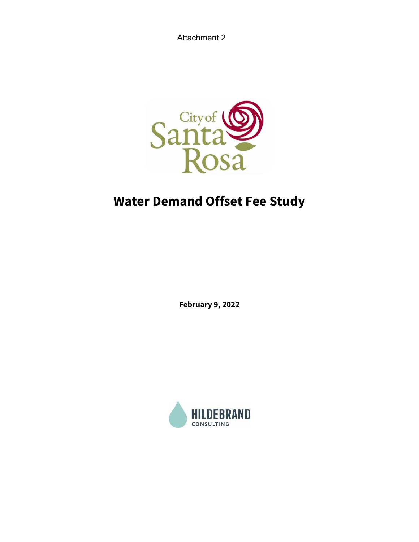Attachment 2



# **Water Demand Offset Fee Study**

**February 9, 2022**

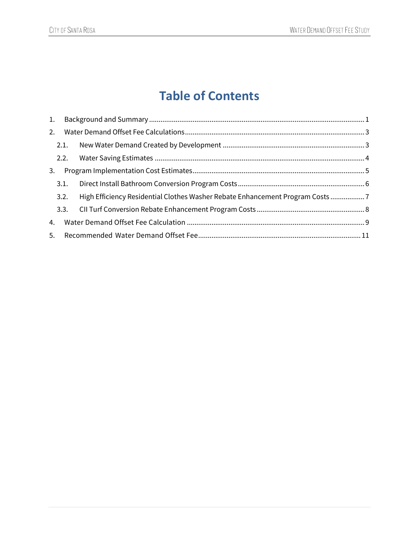# **Table of Contents**

|    | 1.   |                                                                              |  |
|----|------|------------------------------------------------------------------------------|--|
| 2. |      |                                                                              |  |
|    | 2.1. |                                                                              |  |
|    | 2.2. |                                                                              |  |
| 3. |      |                                                                              |  |
|    | 3.1. |                                                                              |  |
|    | 3.2. | High Efficiency Residential Clothes Washer Rebate Enhancement Program Costs7 |  |
|    |      |                                                                              |  |
| 4. |      |                                                                              |  |
|    | 5.   |                                                                              |  |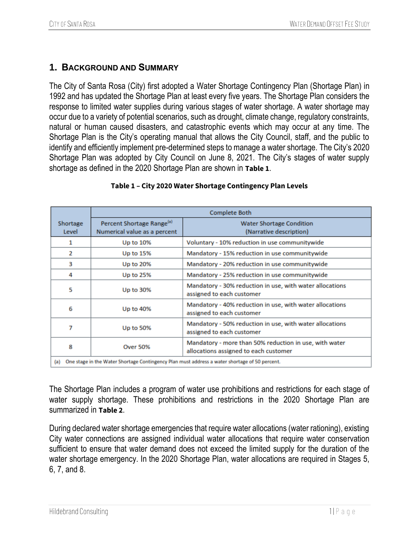# <span id="page-2-0"></span>**1. BACKGROUND AND SUMMARY**

The City of Santa Rosa (City) first adopted a Water Shortage Contingency Plan (Shortage Plan) in 1992 and has updated the Shortage Plan at least every five years. The Shortage Plan considers the response to limited water supplies during various stages of water shortage. A water shortage may occur due to a variety of potential scenarios, such as drought, climate change, regulatory constraints, natural or human caused disasters, and catastrophic events which may occur at any time. The Shortage Plan is the City's operating manual that allows the City Council, staff, and the public to identify and efficiently implement pre-determined steps to manage a water shortage. The City's 2020 Shortage Plan was adopted by City Council on June 8, 2021. The City's stages of water supply shortage as defined in the 2020 Shortage Plan are shown in **[Table 1](#page-2-1)**.

<span id="page-2-1"></span>

| <b>Complete Both</b>                                                                                    |                                                                       |                                                                                                 |  |  |
|---------------------------------------------------------------------------------------------------------|-----------------------------------------------------------------------|-------------------------------------------------------------------------------------------------|--|--|
| Shortage<br>Level                                                                                       | Percent Shortage Range <sup>(a)</sup><br>Numerical value as a percent | <b>Water Shortage Condition</b><br>(Narrative description)                                      |  |  |
| 1                                                                                                       | Up to 10%                                                             | Voluntary - 10% reduction in use communitywide                                                  |  |  |
| 2                                                                                                       | Up to $15%$                                                           | Mandatory - 15% reduction in use communitywide                                                  |  |  |
| з                                                                                                       | Up to 20%                                                             | Mandatory - 20% reduction in use communitywide                                                  |  |  |
| 4                                                                                                       | Up to 25%                                                             | Mandatory - 25% reduction in use communitywide                                                  |  |  |
| 5                                                                                                       | Up to 30%                                                             | Mandatory - 30% reduction in use, with water allocations<br>assigned to each customer           |  |  |
| 6                                                                                                       | Up to 40%                                                             | Mandatory - 40% reduction in use, with water allocations<br>assigned to each customer           |  |  |
| Mandatory - 50% reduction in use, with water allocations<br>7<br>Up to 50%<br>assigned to each customer |                                                                       |                                                                                                 |  |  |
| 8                                                                                                       | <b>Over 50%</b>                                                       | Mandatory - more than 50% reduction in use, with water<br>allocations assigned to each customer |  |  |
| One stage in the Water Shortage Contingency Plan must address a water shortage of 50 percent.<br>(a)    |                                                                       |                                                                                                 |  |  |

#### **Table 1 – City 2020 Water Shortage Contingency Plan Levels**

The Shortage Plan includes a program of water use prohibitions and restrictions for each stage of water supply shortage. These prohibitions and restrictions in the 2020 Shortage Plan are summarized in **[Table 2](#page-3-0)**.

During declared water shortage emergencies that require water allocations (water rationing), existing City water connections are assigned individual water allocations that require water conservation sufficient to ensure that water demand does not exceed the limited supply for the duration of the water shortage emergency. In the 2020 Shortage Plan, water allocations are required in Stages 5, 6, 7, and 8.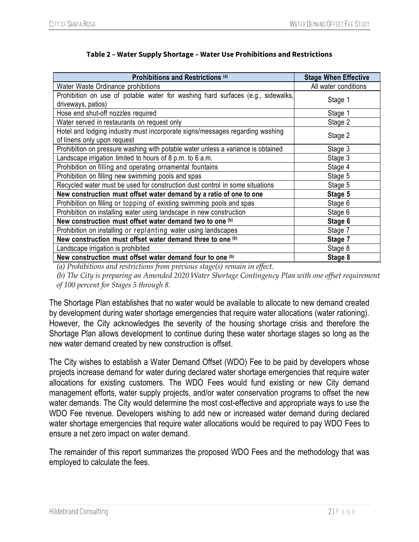<span id="page-3-0"></span>

| Prohibitions and Restrictions (a)                                                                           | <b>Stage When Effective</b> |
|-------------------------------------------------------------------------------------------------------------|-----------------------------|
| Water Waste Ordinance prohibitions                                                                          | All water conditions        |
| Prohibition on use of potable water for washing hard surfaces (e.g., sidewalks,<br>driveways, patios)       | Stage 1                     |
| Hose end shut-off nozzles required                                                                          | Stage 1                     |
| Water served in restaurants on request only                                                                 | Stage 2                     |
| Hotel and lodging industry must incorporate signs/messages regarding washing<br>of linens only upon request | Stage 2                     |
| Prohibition on pressure washing with potable water unless a variance is obtained                            | Stage 3                     |
| Landscape irrigation limited to hours of 8 p.m. to 6 a.m.                                                   | Stage 3                     |
| Prohibition on filling and operating ornamental fountains                                                   | Stage 4                     |
| Prohibition on filling new swimming pools and spas                                                          | Stage 5                     |
| Recycled water must be used for construction dust control in some situations                                | Stage 5                     |
| New construction must offset water demand by a ratio of one to one                                          | Stage 5                     |
| Prohibition on filling or topping of existing swimming pools and spas                                       | Stage 6                     |
| Prohibition on installing water using landscape in new construction                                         | Stage 6                     |
| New construction must offset water demand two to one (b)                                                    | Stage 6                     |
| Prohibition on installing or replanting water using landscapes                                              | Stage 7                     |
| New construction must offset water demand three to one (b)                                                  | Stage 7                     |
| Landscape irrigation is prohibited                                                                          | Stage 8                     |
| New construction must offset water demand four to one (b)                                                   | Stage 8                     |

*(a) Prohibitions and restrictions from previous stage(s) remain in effect.*

*(b) The City is preparing an Amended 2020 Water Shortage Contingency Plan with one offset requirement of 100 percent for Stages 5 through 8.*

The Shortage Plan establishes that no water would be available to allocate to new demand created by development during water shortage emergencies that require water allocations (water rationing). However, the City acknowledges the severity of the housing shortage crisis and therefore the Shortage Plan allows development to continue during these water shortage stages so long as the new water demand created by new construction is offset.

The City wishes to establish a Water Demand Offset (WDO) Fee to be paid by developers whose projects increase demand for water during declared water shortage emergencies that require water allocations for existing customers. The WDO Fees would fund existing or new City demand management efforts, water supply projects, and/or water conservation programs to offset the new water demands. The City would determine the most cost-effective and appropriate ways to use the WDO Fee revenue. Developers wishing to add new or increased water demand during declared water shortage emergencies that require water allocations would be required to pay WDO Fees to ensure a net zero impact on water demand.

The remainder of this report summarizes the proposed WDO Fees and the methodology that was employed to calculate the fees.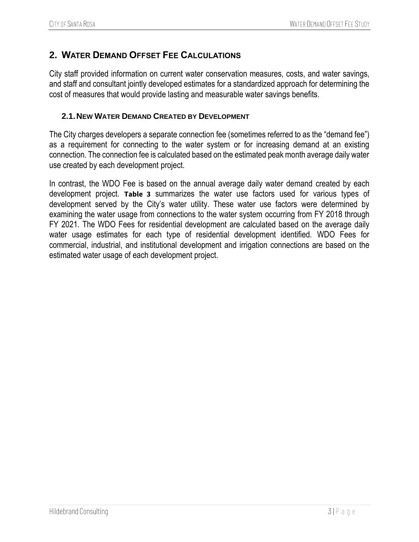# <span id="page-4-0"></span>**2. WATER DEMAND OFFSET FEE CALCULATIONS**

City staff provided information on current water conservation measures, costs, and water savings, and staff and consultant jointly developed estimates for a standardized approach for determining the cost of measures that would provide lasting and measurable water savings benefits.

#### <span id="page-4-1"></span>**2.1.NEW WATER DEMAND CREATED BY DEVELOPMENT**

The City charges developers a separate connection fee (sometimes referred to as the "demand fee") as a requirement for connecting to the water system or for increasing demand at an existing connection. The connection fee is calculated based on the estimated peak month average daily water use created by each development project.

In contrast, the WDO Fee is based on the annual average daily water demand created by each development project. **[Table 3](#page-5-1)** summarizes the water use factors used for various types of development served by the City's water utility. These water use factors were determined by examining the water usage from connections to the water system occurring from FY 2018 through FY 2021. The WDO Fees for residential development are calculated based on the average daily water usage estimates for each type of residential development identified. WDO Fees for commercial, industrial, and institutional development and irrigation connections are based on the estimated water usage of each development project.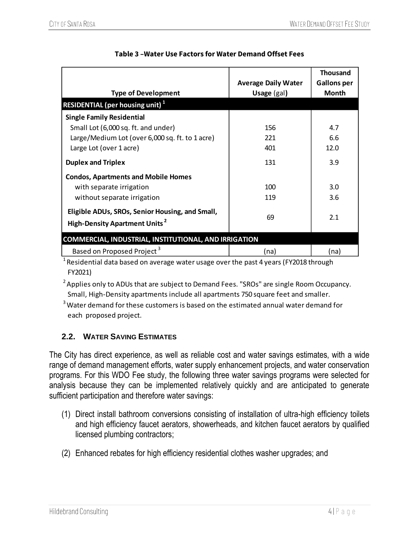<span id="page-5-1"></span>

| <b>Type of Development</b>                                                                         | <b>Average Daily Water</b><br>Usage (gal) | <b>Thousand</b><br>Gallons per<br><b>Month</b> |
|----------------------------------------------------------------------------------------------------|-------------------------------------------|------------------------------------------------|
| <b>RESIDENTIAL (per housing unit)</b> <sup>1</sup>                                                 |                                           |                                                |
| <b>Single Family Residential</b>                                                                   |                                           |                                                |
| Small Lot (6,000 sq. ft. and under)<br>Large/Medium Lot (over 6,000 sq. ft. to 1 acre)             | 156<br>221                                | 4.7<br>6.6                                     |
| Large Lot (over 1 acre)                                                                            | 401                                       | 12.0                                           |
| <b>Duplex and Triplex</b>                                                                          | 131                                       | 3.9                                            |
| <b>Condos, Apartments and Mobile Homes</b>                                                         |                                           |                                                |
| with separate irrigation                                                                           | 100                                       | 3.0                                            |
| without separate irrigation                                                                        | 119                                       | 3.6                                            |
| Eligible ADUs, SROs, Senior Housing, and Small,<br><b>High-Density Apartment Units<sup>2</sup></b> | 69                                        | 2.1                                            |
| <b>COMMERCIAL, INDUSTRIAL, INSTITUTIONAL, AND IRRIGATION</b>                                       |                                           |                                                |
| Based on Proposed Project <sup>3</sup>                                                             | (na)                                      | (na)                                           |

## **Table 3 –Water Use Factors for Water Demand Offset Fees**

 $1$ Residential data based on average water usage over the past 4 years (FY2018 through FY2021)

 $2A$ pplies only to ADUs that are subject to Demand Fees. "SROs" are single Room Occupancy. Small, High-Density apartments include all apartments 750 square feet and smaller.

 $3$  Water demand for these customers is based on the estimated annual water demand for each proposed project.

# <span id="page-5-0"></span>**2.2. WATER SAVING ESTIMATES**

The City has direct experience, as well as reliable cost and water savings estimates, with a wide range of demand management efforts, water supply enhancement projects, and water conservation programs. For this WDO Fee study, the following three water savings programs were selected for analysis because they can be implemented relatively quickly and are anticipated to generate sufficient participation and therefore water savings:

- (1) Direct install bathroom conversions consisting of installation of ultra-high efficiency toilets and high efficiency faucet aerators, showerheads, and kitchen faucet aerators by qualified licensed plumbing contractors;
- (2) Enhanced rebates for high efficiency residential clothes washer upgrades; and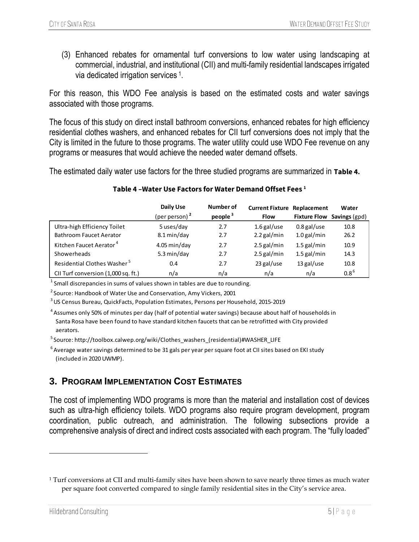(3) Enhanced rebates for ornamental turf conversions to low water using landscaping at commercial, industrial, and institutional (CII) and multi-family residential landscapes irrigated via dedicated irrigation services <sup>1</sup>.

For this reason, this WDO Fee analysis is based on the estimated costs and water savings associated with those programs.

The focus of this study on direct install bathroom conversions, enhanced rebates for high efficiency residential clothes washers, and enhanced rebates for CII turf conversions does not imply that the City is limited in the future to those programs. The water utility could use WDO Fee revenue on any programs or measures that would achieve the needed water demand offsets.

The estimated daily water use factors for the three studied programs are summarized in **[Table 4](#page-6-1).**

<span id="page-6-1"></span>

|                                         | Daily Use              | Number of  | <b>Current Fixture</b> | Replacement   | Water                      |
|-----------------------------------------|------------------------|------------|------------------------|---------------|----------------------------|
|                                         | (per person) $2$       | people $3$ | <b>Flow</b>            |               | Fixture Flow Savings (gpd) |
| Ultra-high Efficiency Toilet            | 5 uses/day             | 2.7        | $1.6$ gal/use          | $0.8$ gal/use | 10.8                       |
| <b>Bathroom Faucet Aerator</b>          | 8.1 min/day            | 2.7        | $2.2$ gal/min          | $1.0$ gal/min | 26.2                       |
| Kitchen Faucet Aerator <sup>4</sup>     | $4.05 \text{ min/day}$ | 2.7        | $2.5$ gal/min          | $1.5$ gal/min | 10.9                       |
| Showerheads                             | 5.3 min/day            | 2.7        | 2.5 gal/min            | $1.5$ gal/min | 14.3                       |
| Residential Clothes Washer <sup>5</sup> | 0.4                    | 2.7        | 23 gal/use             | 13 gal/use    | 10.8                       |
| CII Turf conversion (1,000 sq. ft.)     | n/a                    | n/a        | n/a                    | n/a           | $0.8^6$                    |

#### **Table 4 –Water Use Factors for Water Demand Offset Fees 1**

 $^1$  Small discrepancies in sums of values shown in tables are due to rounding.

 $2$  Source: Handbook of Water Use and Conservation, Amy Vickers, 2001

<sup>3</sup>US Census Bureau, QuickFacts, Population Estimates, Persons per Household, 2015-2019

<sup>4</sup> Assumes only 50% of minutes per day (half of potential water savings) because about half of households in Santa Rosa have been found to have standard kitchen faucets that can be retrofitted with City provided aerators.

<sup>5</sup>Source: http://toolbox.calwep.org/wiki/Clothes\_washers\_(residential)#WASHER\_LIFE

 $6$ Average water savings determined to be 31 gals per year per square foot at CII sites based on EKI study (included in 2020 UWMP).

# <span id="page-6-0"></span>**3. PROGRAM IMPLEMENTATION COST ESTIMATES**

The cost of implementing WDO programs is more than the material and installation cost of devices such as ultra-high efficiency toilets. WDO programs also require program development, program coordination, public outreach, and administration. The following subsections provide a comprehensive analysis of direct and indirect costs associated with each program. The "fully loaded"

<sup>&</sup>lt;sup>1</sup> Turf conversions at CII and multi-family sites have been shown to save nearly three times as much water per square foot converted compared to single family residential sites in the City's service area.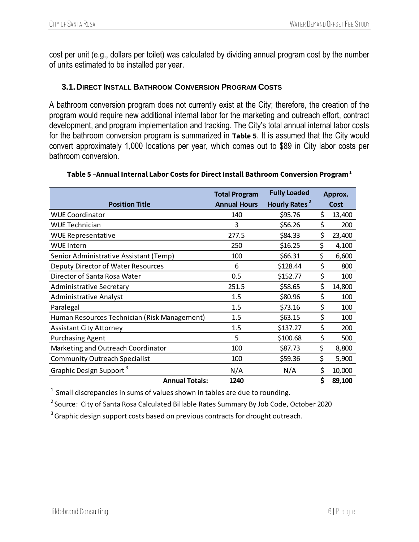cost per unit (e.g., dollars per toilet) was calculated by dividing annual program cost by the number of units estimated to be installed per year.

## <span id="page-7-0"></span>**3.1.DIRECT INSTALL BATHROOM CONVERSION PROGRAM COSTS**

A bathroom conversion program does not currently exist at the City; therefore, the creation of the program would require new additional internal labor for the marketing and outreach effort, contract development, and program implementation and tracking. The City's total annual internal labor costs for the bathroom conversion program is summarized in **[Table 5](#page-7-1)**. It is assumed that the City would convert approximately 1,000 locations per year, which comes out to \$89 in City labor costs per bathroom conversion.

<span id="page-7-1"></span>

|                                              | <b>Total Program</b> | <b>Fully Loaded</b>       | Approx.      |
|----------------------------------------------|----------------------|---------------------------|--------------|
| <b>Position Title</b>                        | <b>Annual Hours</b>  | Hourly Rates <sup>2</sup> | Cost         |
| <b>WUE Coordinator</b>                       | 140                  | \$95.76                   | \$<br>13,400 |
| <b>WUE Technician</b>                        | 3                    | \$56.26                   | \$<br>200    |
| <b>WUE Representative</b>                    | 277.5                | \$84.33                   | \$<br>23,400 |
| <b>WUE Intern</b>                            | 250                  | \$16.25                   | \$<br>4,100  |
| Senior Administrative Assistant (Temp)       | 100                  | \$66.31                   | \$<br>6,600  |
| Deputy Director of Water Resources           | 6                    | \$128.44                  | \$<br>800    |
| Director of Santa Rosa Water                 | 0.5                  | \$152.77                  | \$<br>100    |
| Administrative Secretary                     | 251.5                | \$58.65                   | \$<br>14,800 |
| <b>Administrative Analyst</b>                | 1.5                  | \$80.96                   | \$<br>100    |
| Paralegal                                    | 1.5                  | \$73.16                   | \$<br>100    |
| Human Resources Technician (Risk Management) | 1.5                  | \$63.15                   | \$<br>100    |
| <b>Assistant City Attorney</b>               | 1.5                  | \$137.27                  | \$<br>200    |
| <b>Purchasing Agent</b>                      | 5                    | \$100.68                  | \$<br>500    |
| Marketing and Outreach Coordinator           | 100                  | \$87.73                   | \$<br>8,800  |
| <b>Community Outreach Specialist</b>         | 100                  | \$59.36                   | \$<br>5,900  |
| Graphic Design Support <sup>3</sup>          | N/A                  | N/A                       | \$<br>10,000 |
| <b>Annual Totals:</b>                        | 1240                 |                           | \$<br>89,100 |

#### **Table 5 –Annual Internal Labor Costs for Direct Install Bathroom Conversion Program<sup>1</sup>**

 $1$  Small discrepancies in sums of values shown in tables are due to rounding.

<sup>2</sup> Source: City of Santa Rosa Calculated Billable Rates Summary By Job Code, October 2020

<sup>3</sup> Graphic design support costs based on previous contracts for drought outreach.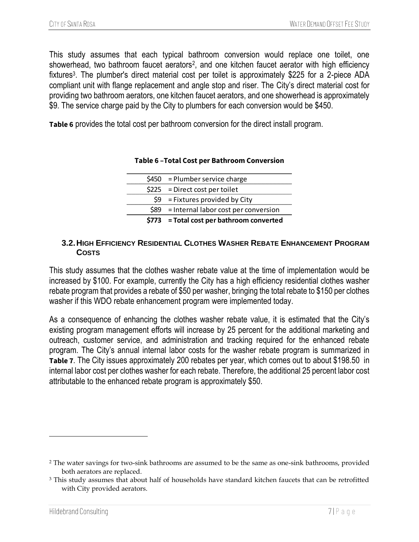This study assumes that each typical bathroom conversion would replace one toilet, one showerhead, two bathroom faucet aerators<sup>2</sup>, and one kitchen faucet aerator with high efficiency fixtures<sup>3</sup>. The plumber's direct material cost per toilet is approximately \$225 for a 2-piece ADA compliant unit with flange replacement and angle stop and riser. The City's direct material cost for providing two bathroom aerators, one kitchen faucet aerators, and one showerhead is approximately \$9. The service charge paid by the City to plumbers for each conversion would be \$450.

**Table 6** provides the total cost per bathroom conversion for the direct install program.

| $$773$ = Total cost per bathroom converted |
|--------------------------------------------|
| $$89$ = Internal labor cost per conversion |
| $$9$ = Fixtures provided by City           |
| $$225$ = Direct cost per toilet            |
| $$450$ = Plumber service charge            |

#### **Table 6 –Total Cost per Bathroom Conversion**

#### <span id="page-8-0"></span>**3.2.HIGH EFFICIENCY RESIDENTIAL CLOTHES WASHER REBATE ENHANCEMENT PROGRAM COSTS**

This study assumes that the clothes washer rebate value at the time of implementation would be increased by \$100. For example, currently the City has a high efficiency residential clothes washer rebate program that provides a rebate of \$50 per washer, bringing the total rebate to \$150 per clothes washer if this WDO rebate enhancement program were implemented today.

As a consequence of enhancing the clothes washer rebate value, it is estimated that the City's existing program management efforts will increase by 25 percent for the additional marketing and outreach, customer service, and administration and tracking required for the enhanced rebate program. The City's annual internal labor costs for the washer rebate program is summarized in **[Table 7](#page-9-1)**. The City issues approximately 200 rebates per year, which comes out to about \$198.50 in internal labor cost per clothes washer for each rebate. Therefore, the additional 25 percent labor cost attributable to the enhanced rebate program is approximately \$50.

<sup>2</sup> The water savings for two-sink bathrooms are assumed to be the same as one-sink bathrooms, provided both aerators are replaced.

<sup>3</sup> This study assumes that about half of households have standard kitchen faucets that can be retrofitted with City provided aerators.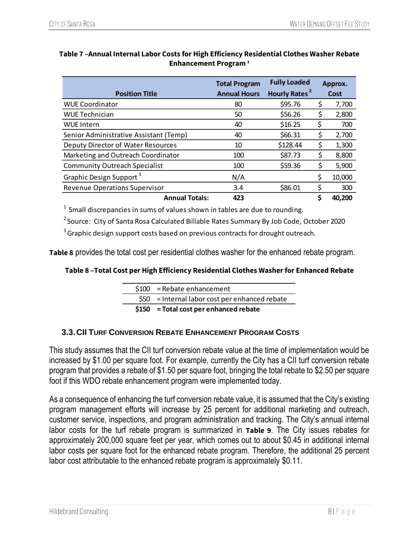|                                        | <b>Total Program</b> | <b>Fully Loaded</b>       | Approx. |        |  |
|----------------------------------------|----------------------|---------------------------|---------|--------|--|
| <b>Position Title</b>                  | <b>Annual Hours</b>  | Hourly Rates <sup>2</sup> |         | Cost   |  |
| <b>WUE Coordinator</b>                 | 80                   | \$95.76                   | S       | 7,700  |  |
| <b>WUE Technician</b>                  | 50                   | \$56.26                   | \$      | 2,800  |  |
| <b>WUE Intern</b>                      | 40                   | \$16.25                   | \$      | 700    |  |
| Senior Administrative Assistant (Temp) | 40                   | \$66.31                   | \$      | 2,700  |  |
| Deputy Director of Water Resources     | 10                   | \$128.44                  | \$      | 1,300  |  |
| Marketing and Outreach Coordinator     | 100                  | \$87.73                   | \$      | 8,800  |  |
| <b>Community Outreach Specialist</b>   | 100                  | \$59.36                   | \$      | 5,900  |  |
| Graphic Design Support <sup>3</sup>    | N/A                  |                           |         | 10,000 |  |
| <b>Revenue Operations Supervisor</b>   | 3.4                  | \$86.01                   | Ş       | 300    |  |
| <b>Annual Totals:</b>                  | 423                  |                           |         | 40.200 |  |

## <span id="page-9-1"></span>**Table 7 –Annual Internal Labor Costs for High Efficiency Residential Clothes Washer Rebate Enhancement Program <sup>1</sup>**

 $1$  Small discrepancies in sums of values shown in tables are due to rounding.

<sup>2</sup> Source: City of Santa Rosa Calculated Billable Rates Summary By Job Code, October 2020

 $3$  Graphic design support costs based on previous contracts for drought outreach.

**Table 8** provides the total cost per residential clothes washer for the enhanced rebate program.

#### **Table 8 –Total Cost per High Efficiency Residential Clothes Washer for Enhanced Rebate**

|  | $$150$ = Total cost per enhanced rebate         |
|--|-------------------------------------------------|
|  | $$50$ = Internal labor cost per enhanced rebate |
|  | $$100$ = Rebate enhancement                     |

## <span id="page-9-0"></span>**3.3.CII TURF CONVERSION REBATE ENHANCEMENT PROGRAM COSTS**

This study assumes that the CII turf conversion rebate value at the time of implementation would be increased by \$1.00 per square foot. For example, currently the City has a CII turf conversion rebate program that provides a rebate of \$1.50 per square foot, bringing the total rebate to \$2.50 per square foot if this WDO rebate enhancement program were implemented today.

As a consequence of enhancing the turf conversion rebate value, it is assumed that the City's existing program management efforts will increase by 25 percent for additional marketing and outreach, customer service, inspections, and program administration and tracking. The City's annual internal labor costs for the turf rebate program is summarized in **[Table 9](#page-10-1)**. The City issues rebates for approximately 200,000 square feet per year, which comes out to about \$0.45 in additional internal labor costs per square foot for the enhanced rebate program. Therefore, the additional 25 percent labor cost attributable to the enhanced rebate program is approximately \$0.11.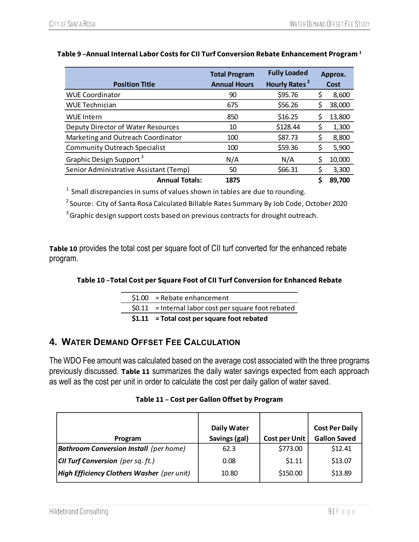|                                        | <b>Total Program</b> | <b>Fully Loaded</b>       |    | Approx. |  |
|----------------------------------------|----------------------|---------------------------|----|---------|--|
| <b>Position Title</b>                  | <b>Annual Hours</b>  | Hourly Rates <sup>2</sup> |    | Cost    |  |
| <b>WUE Coordinator</b>                 | 90                   | \$95.76                   | \$ | 8,600   |  |
| WUE Technician                         | 675                  | \$56.26                   | \$ | 38,000  |  |
| WUE Intern                             | 850                  | \$16.25                   | \$ | 13,800  |  |
| Deputy Director of Water Resources     | 10                   | \$128.44                  | \$ | 1,300   |  |
| Marketing and Outreach Coordinator     | 100                  | \$87.73                   | \$ | 8,800   |  |
| <b>Community Outreach Specialist</b>   | 100                  | \$59.36                   | \$ | 5,900   |  |
| Graphic Design Support <sup>3</sup>    | N/A                  | N/A                       | Ś  | 10,000  |  |
| Senior Administrative Assistant (Temp) | 50                   | \$66.31                   | Ś  | 3,300   |  |
| <b>Annual Totals:</b>                  | 1875                 |                           | \$ | 89,700  |  |

## <span id="page-10-1"></span>**Table 9 –Annual Internal Labor Costs for CII Turf Conversion Rebate Enhancement Program <sup>1</sup>**

 $1$  Small discrepancies in sums of values shown in tables are due to rounding.

<sup>2</sup> Source: City of Santa Rosa Calculated Billable Rates Summary By Job Code, October 2020

<sup>3</sup> Graphic design support costs based on previous contracts for drought outreach.

**Table 10** provides the total cost per square foot of CII turf converted for the enhanced rebate program.

#### **Table 10 –Total Cost per Square Foot of CII Turf Conversion for Enhanced Rebate**

| $$1.00$ = Rebate enhancement                          |
|-------------------------------------------------------|
| $$0.11$ = Internal labor cost per square foot rebated |
| $$1.11$ = Total cost per square foot rebated          |

# <span id="page-10-0"></span>**4. WATER DEMAND OFFSET FEE CALCULATION**

The WDO Fee amount was calculated based on the average cost associated with the three programs previously discussed. **[Table 11](#page-10-2)** summarizes the daily water savings expected from each approach as well as the cost per unit in order to calculate the cost per daily gallon of water saved.

#### **Table 11 – Cost per Gallon Offset by Program**

<span id="page-10-2"></span>

|                                               | <b>Daily Water</b> |                      | <b>Cost Per Daily</b> |
|-----------------------------------------------|--------------------|----------------------|-----------------------|
| Program                                       | Savings (gal)      | <b>Cost per Unit</b> | <b>Gallon Saved</b>   |
| <b>Bathroom Conversion Install</b> (per home) | 62.3               | \$773.00             | \$12.41               |
| <b>CII Turf Conversion</b> (per sq. ft.)      | 0.08               | \$1.11               | \$13.07               |
| High Efficiency Clothers Washer (per unit)    | 10.80              | \$150.00             | \$13.89               |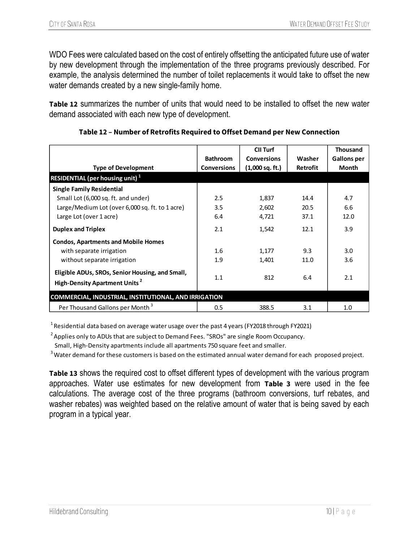WDO Fees were calculated based on the cost of entirely offsetting the anticipated future use of water by new development through the implementation of the three programs previously described. For example, the analysis determined the number of toilet replacements it would take to offset the new water demands created by a new single-family home.

**[Table 12](#page-11-0)** summarizes the number of units that would need to be installed to offset the new water demand associated with each new type of development.

<span id="page-11-0"></span>

|                                                                                              |                    | CII Turf           |                 | <b>Thousand</b>    |
|----------------------------------------------------------------------------------------------|--------------------|--------------------|-----------------|--------------------|
|                                                                                              | <b>Bathroom</b>    | <b>Conversions</b> | Washer          | <b>Gallons per</b> |
| <b>Type of Development</b>                                                                   | <b>Conversions</b> | $(1,000$ sq. ft.)  | <b>Retrofit</b> | <b>Month</b>       |
| <b>RESIDENTIAL (per housing unit)</b> <sup>1</sup>                                           |                    |                    |                 |                    |
| <b>Single Family Residential</b>                                                             |                    |                    |                 |                    |
| Small Lot (6,000 sq. ft. and under)                                                          | 2.5                | 1,837              | 14.4            | 4.7                |
| Large/Medium Lot (over 6,000 sq. ft. to 1 acre)                                              | 3.5                | 2,602              | 20.5            | 6.6                |
| Large Lot (over 1 acre)                                                                      | 6.4                | 4,721              | 37.1            | 12.0               |
| <b>Duplex and Triplex</b>                                                                    | 2.1                | 1,542              | 12.1            | 3.9                |
| <b>Condos, Apartments and Mobile Homes</b>                                                   |                    |                    |                 |                    |
| with separate irrigation                                                                     | 1.6                | 1,177              | 9.3             | 3.0                |
| without separate irrigation                                                                  | 1.9                | 1,401              | 11.0            | 3.6                |
| Eligible ADUs, SROs, Senior Housing, and Small,<br>High-Density Apartment Units <sup>2</sup> | 1.1                | 812                | 6.4             | 2.1                |
| <b>COMMERCIAL, INDUSTRIAL, INSTITUTIONAL, AND IRRIGATION</b>                                 |                    |                    |                 |                    |
| Per Thousand Gallons per Month <sup>3</sup>                                                  | 0.5                | 388.5              | 3.1             | 1.0                |

### **Table 12 – Number of Retrofits Required to Offset Demand per New Connection**

<sup>1</sup> Residential data based on average water usage over the past 4 years (FY2018 through FY2021)

 $2A$ pplies only to ADUs that are subject to Demand Fees. "SROs" are single Room Occupancy.

Small, High-Density apartments include all apartments 750 square feet and smaller.

<sup>3</sup> Water demand for these customers is based on the estimated annual water demand for each proposed project.

**[Table 13](#page-12-1)** shows the required cost to offset different types of development with the various program approaches. Water use estimates for new development from **[Table 3](#page-5-1)** were used in the fee calculations. The average cost of the three programs (bathroom conversions, turf rebates, and washer rebates) was weighted based on the relative amount of water that is being saved by each program in a typical year.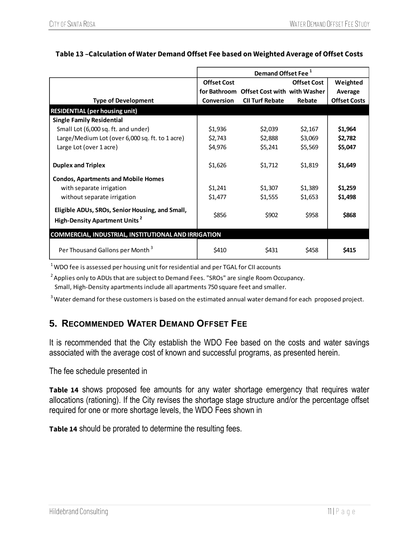|                                                                                                    | Demand Offset Fee <sup>1</sup> |                                           |                    |                     |
|----------------------------------------------------------------------------------------------------|--------------------------------|-------------------------------------------|--------------------|---------------------|
|                                                                                                    | <b>Offset Cost</b>             |                                           | <b>Offset Cost</b> | Weighted            |
|                                                                                                    |                                | for Bathroom Offset Cost with with Washer |                    | Average             |
| <b>Type of Development</b>                                                                         | Conversion                     | <b>CII Turf Rebate</b>                    | Rebate             | <b>Offset Costs</b> |
| <b>RESIDENTIAL (per housing unit)</b>                                                              |                                |                                           |                    |                     |
| <b>Single Family Residential</b>                                                                   |                                |                                           |                    |                     |
| Small Lot (6,000 sq. ft. and under)                                                                | \$1,936                        | \$2,039                                   | \$2,167            | \$1,964             |
| Large/Medium Lot (over 6,000 sq. ft. to 1 acre)                                                    | \$2,743                        | \$2,888                                   | \$3,069            | \$2,782             |
| Large Lot (over 1 acre)                                                                            | \$4,976                        | \$5,241                                   | \$5,569            | \$5,047             |
| <b>Duplex and Triplex</b>                                                                          | \$1,626                        | \$1,712                                   | \$1,819            | \$1,649             |
| <b>Condos, Apartments and Mobile Homes</b>                                                         |                                |                                           |                    |                     |
| with separate irrigation                                                                           | \$1,241                        | \$1,307                                   | \$1,389            | \$1,259             |
| without separate irrigation                                                                        | \$1,477                        | \$1,555                                   | \$1,653            | \$1,498             |
| Eligible ADUs, SROs, Senior Housing, and Small,<br><b>High-Density Apartment Units<sup>2</sup></b> | \$856                          | \$902                                     | \$958              | \$868               |
| <b>COMMERCIAL, INDUSTRIAL, INSTITUTIONAL AND IRRIGATION</b>                                        |                                |                                           |                    |                     |
| Per Thousand Gallons per Month <sup>3</sup>                                                        | \$410                          | \$431                                     | \$458              | \$415               |

## <span id="page-12-1"></span>**Table 13 –Calculation of Water Demand Offset Fee based on Weighted Average of Offset Costs**

 $1$ WDO fee is assessed per housing unit for residential and per TGAL for CII accounts

 $<sup>2</sup>$  Applies only to ADUs that are subject to Demand Fees. "SROs" are single Room Occupancy.</sup> Small, High-Density apartments include all apartments 750 square feet and smaller.

 $3$  Water demand for these customers is based on the estimated annual water demand for each proposed project.

# <span id="page-12-0"></span>**5. RECOMMENDED WATER DEMAND OFFSET FEE**

It is recommended that the City establish the WDO Fee based on the costs and water savings associated with the average cost of known and successful programs, as presented herein.

The fee schedule presented in

**[Table 14](#page-12-2)** shows proposed fee amounts for any water shortage emergency that requires water allocations (rationing). If the City revises the shortage stage structure and/or the percentage offset required for one or more shortage levels, the WDO Fees shown in

<span id="page-12-2"></span>**[Table 14](#page-12-2)** should be prorated to determine the resulting fees.